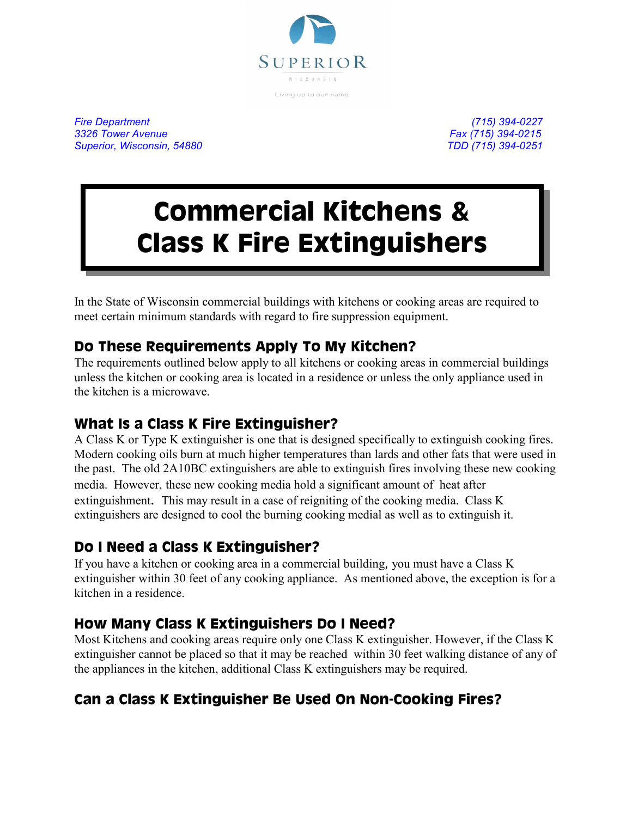

*Fire Department (715) 394-0227 3326 Tower Avenue Fax (715) 394-0215 Superior, Wisconsin, 54880 TDD (715) 394-0251*

# **Commercial Kitchens & Class K Fire Extinguishers**

In the State of Wisconsin commercial buildings with kitchens or cooking areas are required to meet certain minimum standards with regard to fire suppression equipment.

## **Do These Requirements Apply To My Kitchen?**

The requirements outlined below apply to all kitchens or cooking areas in commercial buildings unless the kitchen or cooking area is located in a residence or unless the only appliance used in the kitchen is a microwave.

#### **What Is a Class K Fire Extinguisher?**

A Class K or Type K extinguisher is one that is designed specifically to extinguish cooking fires. Modern cooking oils burn at much higher temperatures than lards and other fats that were used in the past. The old 2A10BC extinguishers are able to extinguish fires involving these new cooking media. However, these new cooking media hold a significant amount of heat after extinguishment. This may result in a case of reigniting of the cooking media. Class K extinguishers are designed to cool the burning cooking medial as well as to extinguish it.

## **Do I Need a Class K Extinguisher?**

If you have a kitchen or cooking area in a commercial building, you must have a Class K extinguisher within 30 feet of any cooking appliance. As mentioned above, the exception is for a kitchen in a residence.

#### **How Many Class K Extinguishers Do I Need?**

Most Kitchens and cooking areas require only one Class K extinguisher. However, if the Class K extinguisher cannot be placed so that it may be reached within 30 feet walking distance of any of the appliances in the kitchen, additional Class K extinguishers may be required.

## **Can a Class K Extinguisher Be Used On Non-Cooking Fires?**